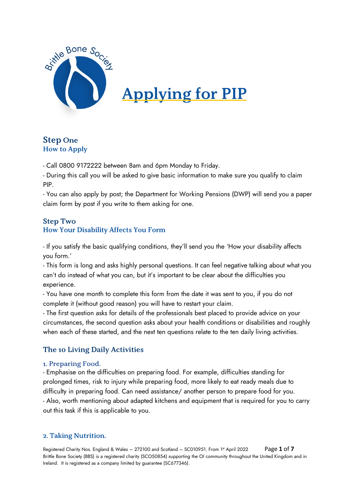

# **Applying for PIP**

# **Step One How to Apply**

- Call 0800 9172222 between 8am and 6pm Monday to Friday.

- During this call you will be asked to give basic information to make sure you qualify to claim PIP.

- You can also apply by post; the Department for Working Pensions (DWP) will send you a paper claim form by post if you write to them asking for one.

# **Step Two How Your Disability Affects You Form**

- If you satisfy the basic qualifying conditions, they'll send you the 'How your disability affects you form.'

- This form is long and asks highly personal questions. It can feel negative talking about what you can't do instead of what you can, but it's important to be clear about the difficulties you experience.

- You have one month to complete this form from the date it was sent to you, if you do not complete it (without good reason) you will have to restart your claim.

- The first question asks for details of the professionals best placed to provide advice on your circumstances, the second question asks about your health conditions or disabilities and roughly when each of these started, and the next ten questions relate to the ten daily living activities.

# The 10 Living Daily Activities

## 1. Preparing Food.

- Emphasise on the difficulties on preparing food. For example, difficulties standing for prolonged times, risk to injury while preparing food, more likely to eat ready meals due to difficulty in preparing food. Can need assistance/ another person to prepare food for you. - Also, worth mentioning about adapted kitchens and equipment that is required for you to carry out this task if this is applicable to you.

## 2. Taking Nutrition.

Registered Charity Nos. England & Wales – 272100 and Scotland – SC010951. From 1<sup>st</sup> April 2022 Page 1 of 7 Brittle Bone Society (BBS) is a registered charity (SCO50854) supporting the OI community throughout the United Kingdom and in Ireland. It is registered as a company limited by guarantee (SC677346).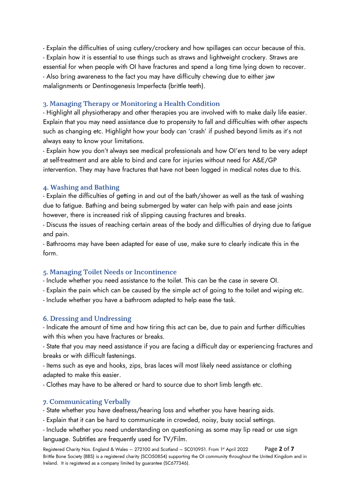- Explain the difficulties of using cutlery/crockery and how spillages can occur because of this. - Explain how it is essential to use things such as straws and lightweight crockery. Straws are essential for when people with OI have fractures and spend a long time lying down to recover. - Also bring awareness to the fact you may have difficulty chewing due to either jaw malalignments or Dentinogenesis Imperfecta (brittle teeth).

#### 3. Managing Therapy or Monitoring a Health Condition

- Highlight all physiotherapy and other therapies you are involved with to make daily life easier. Explain that you may need assistance due to propensity to fall and difficulties with other aspects such as changing etc. Highlight how your body can 'crash' if pushed beyond limits as it's not always easy to know your limitations.

- Explain how you don't always see medical professionals and how OI'ers tend to be very adept at self-treatment and are able to bind and care for injuries without need for A&E/GP intervention. They may have fractures that have not been logged in medical notes due to this.

#### 4. Washing and Bathing

- Explain the difficulties of getting in and out of the bath/shower as well as the task of washing due to fatigue. Bathing and being submerged by water can help with pain and ease joints however, there is increased risk of slipping causing fractures and breaks.

- Discuss the issues of reaching certain areas of the body and difficulties of drying due to fatigue and pain.

- Bathrooms may have been adapted for ease of use, make sure to clearly indicate this in the form.

#### 5. Managing Toilet Needs or Incontinence

- Include whether you need assistance to the toilet. This can be the case in severe OI.

- Explain the pain which can be caused by the simple act of going to the toilet and wiping etc.

- Include whether you have a bathroom adapted to help ease the task.

#### **6. Dressing and Undressing**

- Indicate the amount of time and how tiring this act can be, due to pain and further difficulties with this when you have fractures or breaks.

- State that you may need assistance if you are facing a difficult day or experiencing fractures and breaks or with difficult fastenings.

- Items such as eye and hooks, zips, bras laces will most likely need assistance or clothing adapted to make this easier.

- Clothes may have to be altered or hard to source due to short limb length etc.

#### 7. Communicating Verbally

- State whether you have deafness/hearing loss and whether you have hearing aids.

- Explain that it can be hard to communicate in crowded, noisy, busy social settings.

- Include whether you need understanding on questioning as some may lip read or use sign language. Subtitles are frequently used for TV/Film.

Registered Charity Nos. England & Wales – 272100 and Scotland – SC010951. From 1st April 2022 Page **2** of **7** Brittle Bone Society (BBS) is a registered charity (SCO50854) supporting the OI community throughout the United Kingdom and in Ireland. It is registered as a company limited by guarantee (SC677346).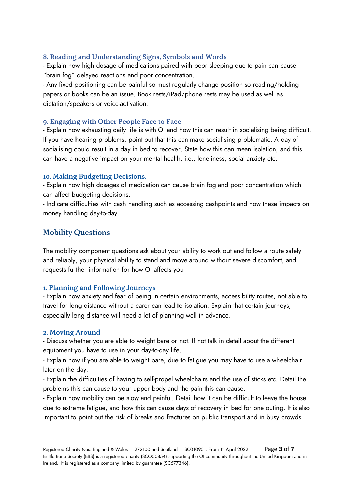#### 8. Reading and Understanding Signs, Symbols and Words

- Explain how high dosage of medications paired with poor sleeping due to pain can cause "brain fog" delayed reactions and poor concentration.

- Any fixed positioning can be painful so must regularly change position so reading/holding papers or books can be an issue. Book rests/iPad/phone rests may be used as well as dictation/speakers or voice-activation.

#### 9. Engaging with Other People Face to Face

- Explain how exhausting daily life is with OI and how this can result in socialising being difficult. If you have hearing problems, point out that this can make socialising problematic. A day of socialising could result in a day in bed to recover. State how this can mean isolation, and this can have a negative impact on your mental health. i.e., loneliness, social anxiety etc.

#### 10. Making Budgeting Decisions.

- Explain how high dosages of medication can cause brain fog and poor concentration which can affect budgeting decisions.

- Indicate difficulties with cash handling such as accessing cashpoints and how these impacts on money handling day-to-day.

#### **Mobility Questions**

The mobility component questions ask about your ability to work out and follow a route safely and reliably, your physical ability to stand and move around without severe discomfort, and requests further information for how OI affects you

#### 1. Planning and Following Journeys

- Explain how anxiety and fear of being in certain environments, accessibility routes, not able to travel for long distance without a carer can lead to isolation. Explain that certain journeys, especially long distance will need a lot of planning well in advance.

#### 2. Moving Around

- Discuss whether you are able to weight bare or not. If not talk in detail about the different equipment you have to use in your day-to-day life.

- Explain how if you are able to weight bare, due to fatigue you may have to use a wheelchair later on the day.

- Explain the difficulties of having to self-propel wheelchairs and the use of sticks etc. Detail the problems this can cause to your upper body and the pain this can cause.

- Explain how mobility can be slow and painful. Detail how it can be difficult to leave the house due to extreme fatigue, and how this can cause days of recovery in bed for one outing. It is also important to point out the risk of breaks and fractures on public transport and in busy crowds.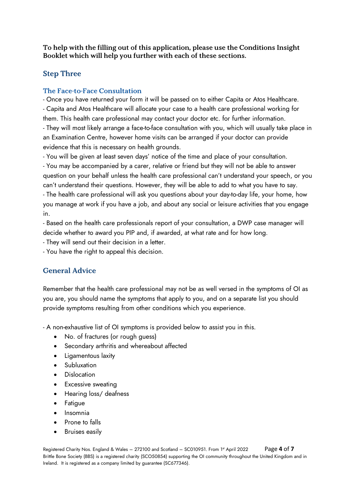To help with the filling out of this application, please use the Conditions Insight Booklet which will help you further with each of these sections.

# **Step Three**

#### The Face-to-Face Consultation

- Once you have returned your form it will be passed on to either Capita or Atos Healthcare. - Capita and Atos Healthcare will allocate your case to a health care professional working for them. This health care professional may contact your doctor etc. for further information. - They will most likely arrange a face-to-face consultation with you, which will usually take place in

an Examination Centre, however home visits can be arranged if your doctor can provide evidence that this is necessary on health grounds.

- You will be given at least seven days' notice of the time and place of your consultation. - You may be accompanied by a carer, relative or friend but they will not be able to answer question on your behalf unless the health care professional can't understand your speech, or you can't understand their questions. However, they will be able to add to what you have to say.

- The health care professional will ask you questions about your day-to-day life, your home, how you manage at work if you have a job, and about any social or leisure activities that you engage in.

- Based on the health care professionals report of your consultation, a DWP case manager will decide whether to award you PIP and, if awarded, at what rate and for how long.

- They will send out their decision in a letter.

- You have the right to appeal this decision.

# **General Advice**

Remember that the health care professional may not be as well versed in the symptoms of OI as you are, you should name the symptoms that apply to you, and on a separate list you should provide symptoms resulting from other conditions which you experience.

- A non-exhaustive list of OI symptoms is provided below to assist you in this.

- No. of fractures (or rough guess)
- Secondary arthritis and whereabout affected
- Ligamentous laxity
- Subluxation
- Dislocation
- Excessive sweating
- Hearing loss/ deafness
- Fatigue
- Insomnia
- Prone to falls
- Bruises easily

Registered Charity Nos. England & Wales – 272100 and Scotland – SC010951. From 1<sup>st</sup> April 2022 Page 4 of 7 Brittle Bone Society (BBS) is a registered charity (SCO50854) supporting the OI community throughout the United Kingdom and in Ireland. It is registered as a company limited by guarantee (SC677346).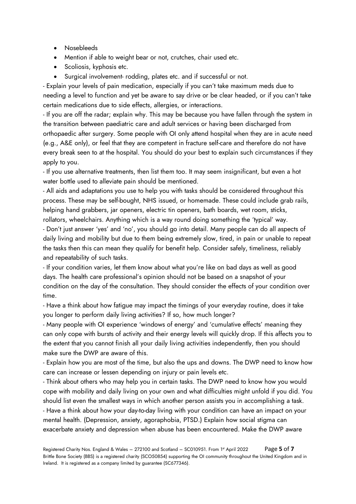- Nosebleeds
- Mention if able to weight bear or not, crutches, chair used etc.
- Scoliosis, kyphosis etc.
- Surgical involvement- rodding, plates etc. and if successful or not.

- Explain your levels of pain medication, especially if you can't take maximum meds due to needing a level to function and yet be aware to say drive or be clear headed, or if you can't take certain medications due to side effects, allergies, or interactions.

- If you are off the radar; explain why. This may be because you have fallen through the system in the transition between paediatric care and adult services or having been discharged from orthopaedic after surgery. Some people with OI only attend hospital when they are in acute need (e.g., A&E only), or feel that they are competent in fracture self-care and therefore do not have every break seen to at the hospital. You should do your best to explain such circumstances if they apply to you.

- If you use alternative treatments, then list them too. It may seem insignificant, but even a hot water bottle used to alleviate pain should be mentioned.

- All aids and adaptations you use to help you with tasks should be considered throughout this process. These may be self-bought, NHS issued, or homemade. These could include grab rails, helping hand grabbers, jar openers, electric tin openers, bath boards, wet room, sticks, rollators, wheelchairs. Anything which is a way round doing something the 'typical' way.

- Don't just answer 'yes' and 'no', you should go into detail. Many people can do all aspects of daily living and mobility but due to them being extremely slow, tired, in pain or unable to repeat the tasks then this can mean they qualify for benefit help. Consider safely, timeliness, reliably and repeatability of such tasks.

- If your condition varies, let them know about what you're like on bad days as well as good days. The health care professional's opinion should not be based on a snapshot of your condition on the day of the consultation. They should consider the effects of your condition over time.

- Have a think about how fatigue may impact the timings of your everyday routine, does it take you longer to perform daily living activities? If so, how much longer?

- Many people with OI experience 'windows of energy' and 'cumulative effects' meaning they can only cope with bursts of activity and their energy levels will quickly drop. If this affects you to the extent that you cannot finish all your daily living activities independently, then you should make sure the DWP are aware of this.

- Explain how you are most of the time, but also the ups and downs. The DWP need to know how care can increase or lessen depending on injury or pain levels etc.

- Think about others who may help you in certain tasks. The DWP need to know how you would cope with mobility and daily living on your own and what difficulties might unfold if you did. You should list even the smallest ways in which another person assists you in accomplishing a task. - Have a think about how your day-to-day living with your condition can have an impact on your mental health. (Depression, anxiety, agoraphobia, PTSD.) Explain how social stigma can exacerbate anxiety and depression when abuse has been encountered. Make the DWP aware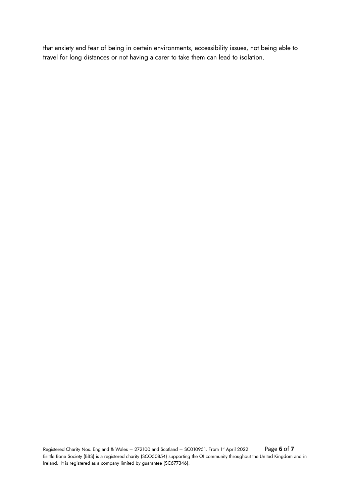that anxiety and fear of being in certain environments, accessibility issues, not being able to travel for long distances or not having a carer to take them can lead to isolation.

Registered Charity Nos. England & Wales – 272100 and Scotland – SC010951. From 1st April 2022 Page **6** of **7** Brittle Bone Society (BBS) is a registered charity (SCO50854) supporting the OI community throughout the United Kingdom and in Ireland. It is registered as a company limited by guarantee (SC677346).